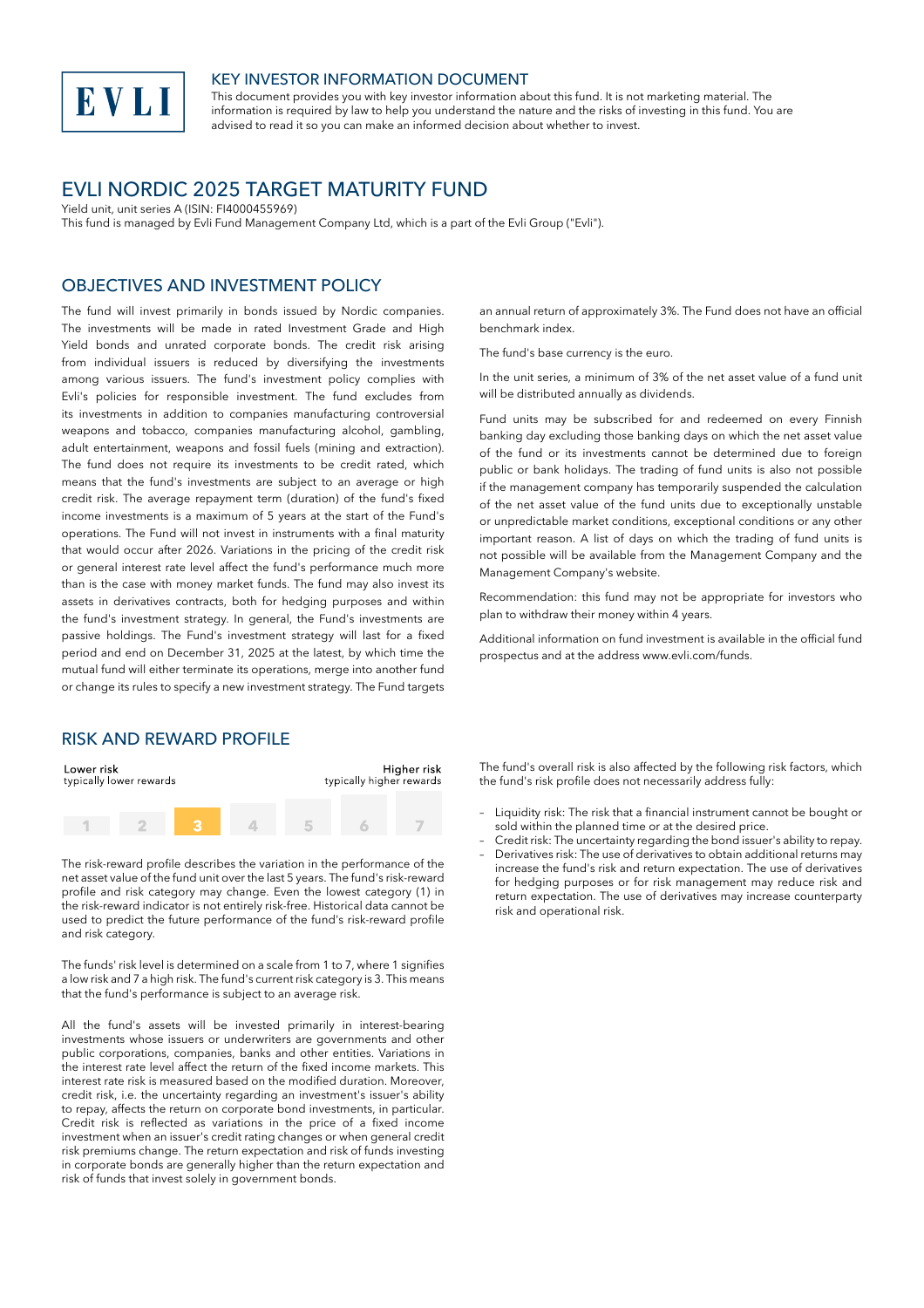

#### KEY INVESTOR INFORMATION DOCUMENT

This document provides you with key investor information about this fund. It is not marketing material. The information is required by law to help you understand the nature and the risks of investing in this fund. You are advised to read it so you can make an informed decision about whether to invest.

# EVLI NORDIC 2025 TARGET MATURITY FUND

Yield unit, unit series A (ISIN: FI4000455969)

This fund is managed by Evli Fund Management Company Ltd, which is a part of the Evli Group ("Evli").

## OBJECTIVES AND INVESTMENT POLICY

The fund will invest primarily in bonds issued by Nordic companies. The investments will be made in rated Investment Grade and High Yield bonds and unrated corporate bonds. The credit risk arising from individual issuers is reduced by diversifying the investments among various issuers. The fund's investment policy complies with Evli's policies for responsible investment. The fund excludes from its investments in addition to companies manufacturing controversial weapons and tobacco, companies manufacturing alcohol, gambling, adult entertainment, weapons and fossil fuels (mining and extraction). The fund does not require its investments to be credit rated, which means that the fund's investments are subject to an average or high credit risk. The average repayment term (duration) of the fund's fixed income investments is a maximum of 5 years at the start of the Fund's operations. The Fund will not invest in instruments with a final maturity that would occur after 2026. Variations in the pricing of the credit risk or general interest rate level affect the fund's performance much more than is the case with money market funds. The fund may also invest its assets in derivatives contracts, both for hedging purposes and within the fund's investment strategy. In general, the Fund's investments are passive holdings. The Fund's investment strategy will last for a fixed period and end on December 31, 2025 at the latest, by which time the mutual fund will either terminate its operations, merge into another fund or change its rules to specify a new investment strategy. The Fund targets

#### RISK AND REWARD PROFILE

| Lower risk<br>typically lower rewards |  | Higher risk<br>typically higher rewards |  |  |  |
|---------------------------------------|--|-----------------------------------------|--|--|--|
|                                       |  |                                         |  |  |  |

The risk-reward profile describes the variation in the performance of the net asset value of the fund unit over the last 5 years. The fund's risk-reward profile and risk category may change. Even the lowest category (1) in the risk-reward indicator is not entirely risk-free. Historical data cannot be used to predict the future performance of the fund's risk-reward profile and risk category.

The funds' risk level is determined on a scale from 1 to 7, where 1 signifies a low risk and 7 a high risk. The fund's current risk category is 3. This means that the fund's performance is subject to an average risk.

All the fund's assets will be invested primarily in interest-bearing investments whose issuers or underwriters are governments and other public corporations, companies, banks and other entities. Variations in the interest rate level affect the return of the fixed income markets. This interest rate risk is measured based on the modified duration. Moreover, credit risk, i.e. the uncertainty regarding an investment's issuer's ability to repay, affects the return on corporate bond investments, in particular. Credit risk is reflected as variations in the price of a fixed income investment when an issuer's credit rating changes or when general credit risk premiums change. The return expectation and risk of funds investing in corporate bonds are generally higher than the return expectation and risk of funds that invest solely in government bonds.

an annual return of approximately 3%. The Fund does not have an official benchmark index.

The fund's base currency is the euro.

In the unit series, a minimum of 3% of the net asset value of a fund unit will be distributed annually as dividends.

Fund units may be subscribed for and redeemed on every Finnish banking day excluding those banking days on which the net asset value of the fund or its investments cannot be determined due to foreign public or bank holidays. The trading of fund units is also not possible if the management company has temporarily suspended the calculation of the net asset value of the fund units due to exceptionally unstable or unpredictable market conditions, exceptional conditions or any other important reason. A list of days on which the trading of fund units is not possible will be available from the Management Company and the Management Company's website.

Recommendation: this fund may not be appropriate for investors who plan to withdraw their money within 4 years.

Additional information on fund investment is available in the official fund prospectus and at the address www.evli.com/funds.

The fund's overall risk is also affected by the following risk factors, which the fund's risk profile does not necessarily address fully:

- Liquidity risk: The risk that a financial instrument cannot be bought or sold within the planned time or at the desired price.
- Credit risk: The uncertainty regarding the bond issuer's ability to repay. – Derivatives risk: The use of derivatives to obtain additional returns may increase the fund's risk and return expectation. The use of derivatives for hedging purposes or for risk management may reduce risk and return expectation. The use of derivatives may increase counterparty risk and operational risk.